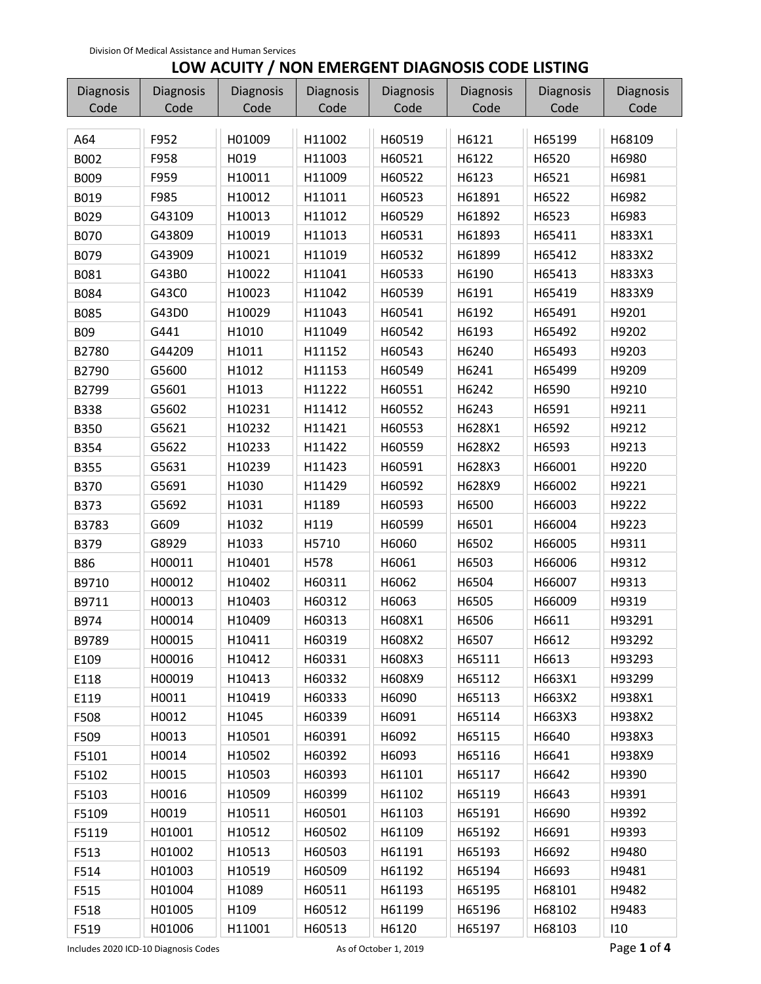## **LOW ACUITY / NON EMERGENT DIAGNOSIS CODE LISTING**

| Diagnosis   | Diagnosis | <b>Diagnosis</b> | Diagnosis | Diagnosis | Diagnosis | Diagnosis | <b>Diagnosis</b> |
|-------------|-----------|------------------|-----------|-----------|-----------|-----------|------------------|
| Code        | Code      | Code             | Code      | Code      | Code      | Code      | Code             |
| A64         | F952      | H01009           | H11002    | H60519    | H6121     | H65199    | H68109           |
| B002        | F958      | H019             | H11003    | H60521    | H6122     | H6520     | H6980            |
| B009        | F959      | H10011           | H11009    | H60522    | H6123     | H6521     | H6981            |
| B019        | F985      | H10012           | H11011    | H60523    | H61891    | H6522     | H6982            |
| B029        | G43109    | H10013           | H11012    | H60529    | H61892    | H6523     | H6983            |
| <b>B070</b> | G43809    | H10019           | H11013    | H60531    | H61893    | H65411    | H833X1           |
| B079        | G43909    | H10021           | H11019    | H60532    | H61899    | H65412    | H833X2           |
| B081        | G43B0     | H10022           | H11041    | H60533    | H6190     | H65413    | H833X3           |
| B084        | G43C0     | H10023           | H11042    | H60539    | H6191     | H65419    | H833X9           |
| B085        | G43D0     | H10029           | H11043    | H60541    | H6192     | H65491    | H9201            |
| <b>B09</b>  | G441      | H1010            | H11049    | H60542    | H6193     | H65492    | H9202            |
| B2780       | G44209    | H1011            | H11152    | H60543    | H6240     | H65493    | H9203            |
| B2790       | G5600     | H1012            | H11153    | H60549    | H6241     | H65499    | H9209            |
| B2799       | G5601     | H1013            | H11222    | H60551    | H6242     | H6590     | H9210            |
| <b>B338</b> | G5602     | H10231           | H11412    | H60552    | H6243     | H6591     | H9211            |
| <b>B350</b> | G5621     | H10232           | H11421    | H60553    | H628X1    | H6592     | H9212            |
| B354        | G5622     | H10233           | H11422    | H60559    | H628X2    | H6593     | H9213            |
| <b>B355</b> | G5631     | H10239           | H11423    | H60591    | H628X3    | H66001    | H9220            |
| <b>B370</b> | G5691     | H1030            | H11429    | H60592    | H628X9    | H66002    | H9221            |
| B373        | G5692     | H1031            | H1189     | H60593    | H6500     | H66003    | H9222            |
| B3783       | G609      | H1032            | H119      | H60599    | H6501     | H66004    | H9223            |
| <b>B379</b> | G8929     | H1033            | H5710     | H6060     | H6502     | H66005    | H9311            |
| <b>B86</b>  | H00011    | H10401           | H578      | H6061     | H6503     | H66006    | H9312            |
| B9710       | H00012    | H10402           | H60311    | H6062     | H6504     | H66007    | H9313            |
| B9711       | H00013    | H10403           | H60312    | H6063     | H6505     | H66009    | H9319            |
| B974        | H00014    | H10409           | H60313    | H608X1    | H6506     | H6611     | H93291           |
| B9789       | H00015    | H10411           | H60319    | H608X2    | H6507     | H6612     | H93292           |
| E109        | H00016    | H10412           | H60331    | H608X3    | H65111    | H6613     | H93293           |
| E118        | H00019    | H10413           | H60332    | H608X9    | H65112    | H663X1    | H93299           |
| E119        | H0011     | H10419           | H60333    | H6090     | H65113    | H663X2    | H938X1           |
| F508        | H0012     | H1045            | H60339    | H6091     | H65114    | H663X3    | H938X2           |
| F509        | H0013     | H10501           | H60391    | H6092     | H65115    | H6640     | H938X3           |
| F5101       | H0014     | H10502           | H60392    | H6093     | H65116    | H6641     | H938X9           |
| F5102       | H0015     | H10503           | H60393    | H61101    | H65117    | H6642     | H9390            |
| F5103       | H0016     | H10509           | H60399    | H61102    | H65119    | H6643     | H9391            |
| F5109       | H0019     | H10511           | H60501    | H61103    | H65191    | H6690     | H9392            |
| F5119       | H01001    | H10512           | H60502    | H61109    | H65192    | H6691     | H9393            |
| F513        | H01002    | H10513           | H60503    | H61191    | H65193    | H6692     | H9480            |
| F514        | H01003    | H10519           | H60509    | H61192    | H65194    | H6693     | H9481            |
| F515        | H01004    | H1089            | H60511    | H61193    | H65195    | H68101    | H9482            |
| F518        | H01005    | H109             | H60512    | H61199    | H65196    | H68102    | H9483            |
| F519        | H01006    | H11001           | H60513    | H6120     | H65197    | H68103    | 110              |

Includes 2020 ICD‐10 Diagnosis Codes As of October 1, 2019 Page **1** of **4**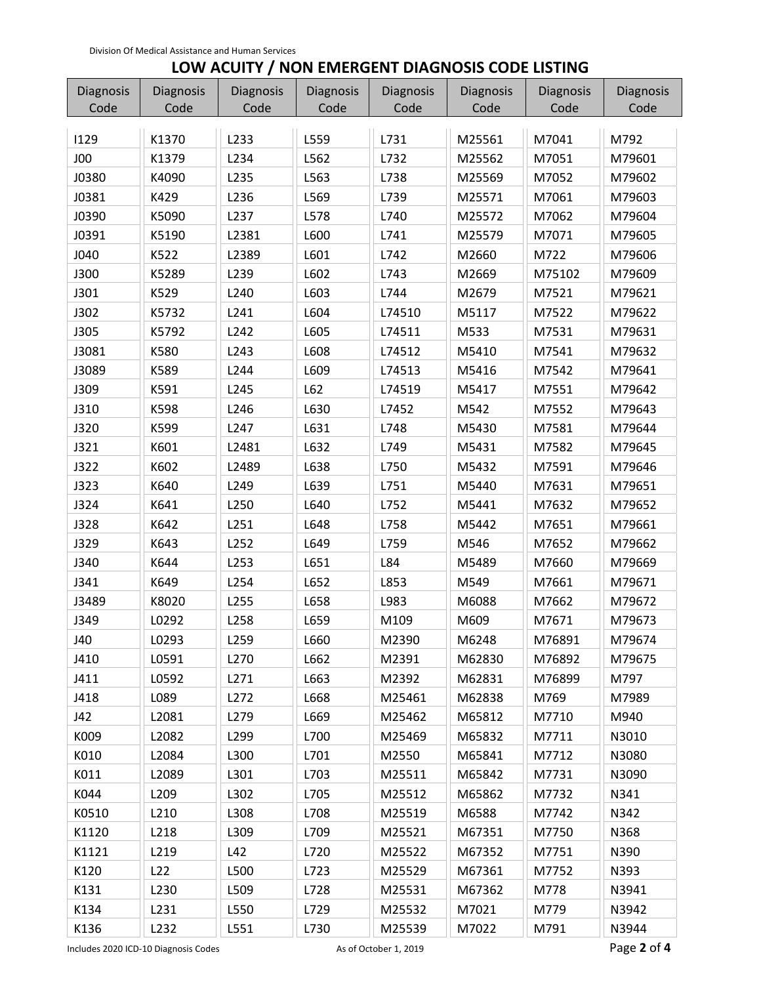## **LOW ACUITY / NON EMERGENT DIAGNOSIS CODE LISTING**

| Diagnosis   | Diagnosis | Diagnosis        | Diagnosis | Diagnosis | Diagnosis | Diagnosis | <b>Diagnosis</b> |
|-------------|-----------|------------------|-----------|-----------|-----------|-----------|------------------|
| Code        | Code      | Code             | Code      | Code      | Code      | Code      | Code             |
| 1129        | K1370     | L233             | L559      | L731      | M25561    | M7041     | M792             |
| J00         | K1379     | L234             | L562      | L732      | M25562    | M7051     | M79601           |
| J0380       | K4090     | L235             | L563      | L738      | M25569    | M7052     | M79602           |
| J0381       | K429      | L236             | L569      | L739      | M25571    | M7061     | M79603           |
| J0390       | K5090     | L237             | L578      | L740      | M25572    | M7062     | M79604           |
| J0391       | K5190     | L2381            | L600      | L741      | M25579    | M7071     | M79605           |
| J040        | K522      | L2389            | L601      | L742      | M2660     | M722      | M79606           |
| J300        | K5289     | L239             | L602      | L743      | M2669     | M75102    | M79609           |
| J301        | K529      | L240             | L603      | L744      | M2679     | M7521     | M79621           |
| J302        | K5732     | L241             | L604      | L74510    | M5117     | M7522     | M79622           |
| <b>J305</b> | K5792     | L242             | L605      | L74511    | M533      | M7531     | M79631           |
| J3081       | K580      | L243             | L608      | L74512    | M5410     | M7541     | M79632           |
| J3089       | K589      | L244             | L609      | L74513    | M5416     | M7542     | M79641           |
| J309        | K591      | L245             | L62       | L74519    | M5417     | M7551     | M79642           |
| J310        | K598      | L246             | L630      | L7452     | M542      | M7552     | M79643           |
| <b>J320</b> | K599      | L247             | L631      | L748      | M5430     | M7581     | M79644           |
| J321        | K601      | L2481            | L632      | L749      | M5431     | M7582     | M79645           |
| J322        | K602      | L2489            | L638      | L750      | M5432     | M7591     | M79646           |
| <b>J323</b> | K640      | L249             | L639      | L751      | M5440     | M7631     | M79651           |
| J324        | K641      | L250             | L640      | L752      | M5441     | M7632     | M79652           |
| J328        | K642      | L251             | L648      | L758      | M5442     | M7651     | M79661           |
| J329        | K643      | L252             | L649      | L759      | M546      | M7652     | M79662           |
| J340        | K644      | L253             | L651      | L84       | M5489     | M7660     | M79669           |
| J341        | K649      | L254             | L652      | L853      | M549      | M7661     | M79671           |
| J3489       | K8020     | L255             | L658      | L983      | M6088     | M7662     | M79672           |
| J349        | L0292     | L258             | L659      | M109      | M609      | M7671     | M79673           |
| J40         | L0293     | L259             | L660      | M2390     | M6248     | M76891    | M79674           |
| J410        | L0591     | L <sub>270</sub> | L662      | M2391     | M62830    | M76892    | M79675           |
| J411        | L0592     | L271             | L663      | M2392     | M62831    | M76899    | M797             |
| J418        | L089      | L272             | L668      | M25461    | M62838    | M769      | M7989            |
| J42         | L2081     | L279             | L669      | M25462    | M65812    | M7710     | M940             |
| K009        | L2082     | L299             | L700      | M25469    | M65832    | M7711     | N3010            |
| K010        | L2084     | L300             | L701      | M2550     | M65841    | M7712     | N3080            |
| K011        | L2089     | L301             | L703      | M25511    | M65842    | M7731     | N3090            |
| K044        | L209      | L302             | L705      | M25512    | M65862    | M7732     | N341             |
| K0510       | L210      | L308             | L708      | M25519    | M6588     | M7742     | N342             |
| K1120       | L218      | L309             | L709      | M25521    | M67351    | M7750     | N368             |
| K1121       | L219      | L42              | L720      | M25522    | M67352    | M7751     | N390             |
| K120        | L22       | L500             | L723      | M25529    | M67361    | M7752     | N393             |
| K131        | L230      | L509             | L728      | M25531    | M67362    | M778      | N3941            |
| K134        | L231      | L550             | L729      | M25532    | M7021     | M779      | N3942            |
| K136        | L232      | L551             | L730      | M25539    | M7022     | M791      | N3944            |

Includes 2020 ICD‐10 Diagnosis Codes As of October 1, 2019 Page **2** of **4**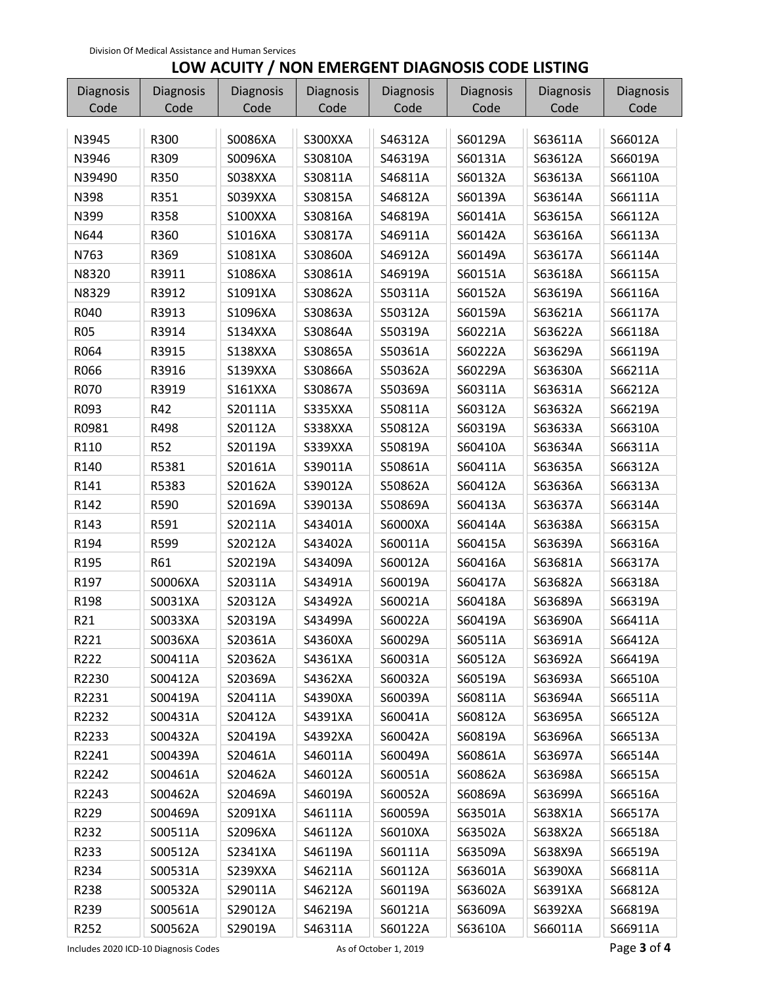## **LOW ACUITY / NON EMERGENT DIAGNOSIS CODE LISTING**

| Diagnosis  | Diagnosis  | <b>Diagnosis</b> | <b>Diagnosis</b> | <b>Diagnosis</b> | Diagnosis | Diagnosis | Diagnosis |
|------------|------------|------------------|------------------|------------------|-----------|-----------|-----------|
| Code       | Code       | Code             | Code             | Code             | Code      | Code      | Code      |
| N3945      | R300       | S0086XA          | S300XXA          | S46312A          | S60129A   | S63611A   | S66012A   |
| N3946      | R309       | S0096XA          | S30810A          | S46319A          | S60131A   | S63612A   | S66019A   |
| N39490     | R350       |                  |                  |                  |           |           | S66110A   |
|            |            | S038XXA          | S30811A          | S46811A          | S60132A   | S63613A   |           |
| N398       | R351       | S039XXA          | S30815A          | S46812A          | S60139A   | S63614A   | S66111A   |
| N399       | R358       | S100XXA          | S30816A          | S46819A          | S60141A   | S63615A   | S66112A   |
| N644       | R360       | S1016XA          | S30817A          | S46911A          | S60142A   | S63616A   | S66113A   |
| N763       | R369       | S1081XA          | S30860A          | S46912A          | S60149A   | S63617A   | S66114A   |
| N8320      | R3911      | S1086XA          | S30861A          | S46919A          | S60151A   | S63618A   | S66115A   |
| N8329      | R3912      | S1091XA          | S30862A          | S50311A          | S60152A   | S63619A   | S66116A   |
| R040       | R3913      | S1096XA          | S30863A          | S50312A          | S60159A   | S63621A   | S66117A   |
| <b>R05</b> | R3914      | S134XXA          | S30864A          | S50319A          | S60221A   | S63622A   | S66118A   |
| R064       | R3915      | S138XXA          | S30865A          | S50361A          | S60222A   | S63629A   | S66119A   |
| R066       | R3916      | S139XXA          | S30866A          | S50362A          | S60229A   | S63630A   | S66211A   |
| R070       | R3919      | <b>S161XXA</b>   | S30867A          | S50369A          | S60311A   | S63631A   | S66212A   |
| R093       | R42        | S20111A          | S335XXA          | S50811A          | S60312A   | S63632A   | S66219A   |
| R0981      | R498       | S20112A          | S338XXA          | S50812A          | S60319A   | S63633A   | S66310A   |
| R110       | <b>R52</b> | S20119A          | S339XXA          | S50819A          | S60410A   | S63634A   | S66311A   |
| R140       | R5381      | S20161A          | S39011A          | S50861A          | S60411A   | S63635A   | S66312A   |
| R141       | R5383      | S20162A          | S39012A          | S50862A          | S60412A   | S63636A   | S66313A   |
| R142       | R590       | S20169A          | S39013A          | S50869A          | S60413A   | S63637A   | S66314A   |
| R143       | R591       | S20211A          | S43401A          | S6000XA          | S60414A   | S63638A   | S66315A   |
| R194       | R599       | S20212A          | S43402A          | S60011A          | S60415A   | S63639A   | S66316A   |
| R195       | R61        | S20219A          | S43409A          | S60012A          | S60416A   | S63681A   | S66317A   |
| R197       | S0006XA    | S20311A          | S43491A          | S60019A          | S60417A   | S63682A   | S66318A   |
| R198       | S0031XA    | S20312A          | S43492A          | S60021A          | S60418A   | S63689A   | S66319A   |
| R21        | S0033XA    | S20319A          | S43499A          | S60022A          | S60419A   | S63690A   | S66411A   |
| R221       | S0036XA    | S20361A          | S4360XA          | S60029A          | S60511A   | S63691A   | S66412A   |
| R222       | S00411A    | S20362A          | S4361XA          | S60031A          | S60512A   | S63692A   | S66419A   |
| R2230      | S00412A    | S20369A          | S4362XA          | S60032A          | S60519A   | S63693A   | S66510A   |
| R2231      | S00419A    | S20411A          | S4390XA          | S60039A          | S60811A   | S63694A   | S66511A   |
| R2232      | S00431A    | S20412A          | S4391XA          | S60041A          | S60812A   | S63695A   | S66512A   |
| R2233      | S00432A    | S20419A          | S4392XA          | S60042A          | S60819A   | S63696A   | S66513A   |
| R2241      | S00439A    | S20461A          | S46011A          | S60049A          | S60861A   | S63697A   | S66514A   |
| R2242      | S00461A    | S20462A          | S46012A          | S60051A          | S60862A   | S63698A   | S66515A   |
| R2243      | S00462A    | S20469A          | S46019A          | S60052A          | S60869A   | S63699A   | S66516A   |
| R229       | S00469A    | S2091XA          | S46111A          | S60059A          | S63501A   | S638X1A   | S66517A   |
| R232       | S00511A    | S2096XA          | S46112A          | S6010XA          | S63502A   | S638X2A   | S66518A   |
| R233       | S00512A    | S2341XA          | S46119A          | S60111A          | S63509A   | S638X9A   | S66519A   |
| R234       | S00531A    | S239XXA          | S46211A          | S60112A          | S63601A   | S6390XA   | S66811A   |
| R238       | S00532A    | S29011A          | S46212A          | S60119A          | S63602A   | S6391XA   | S66812A   |
| R239       | S00561A    | S29012A          | S46219A          | S60121A          | S63609A   | S6392XA   | S66819A   |
| R252       | S00562A    | S29019A          | S46311A          | S60122A          | S63610A   | S66011A   | S66911A   |

Includes 2020 ICD-10 Diagnosis Codes  **As of October 1, 2019 Page 3 of 4** and  $\blacksquare$